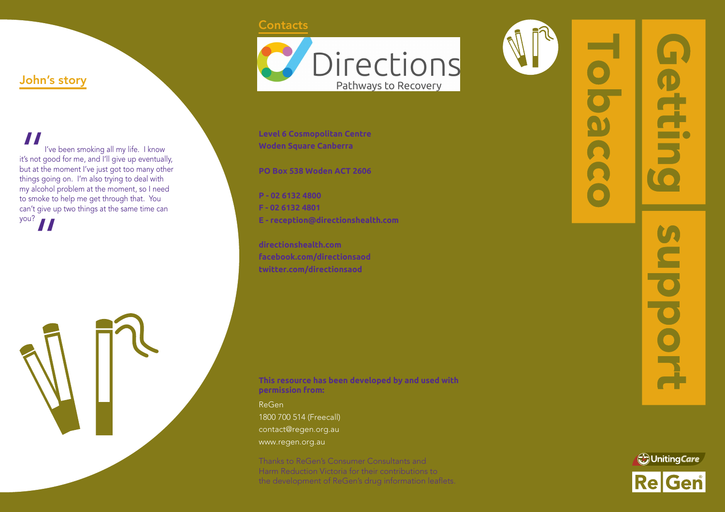#### **Contacts**



**Level 6 Cosmopolitan Centre Woden Square Canberra**

**PO Box 538 Woden ACT 2606**

**P - 02 6132 4800 F - 02 6132 4801 E - reception@directionshealth.com**

**directionshealth.com facebook.com/directionsaod twitter.com/directionsaod**

ReGen

John's story

I've been smoking all my life. I know it's not good for me, and I'll give up eventually, but at the moment I've just got too many other things going on. I'm also trying to deal with my alcohol problem at the moment, so I need to smoke to help me get through that. You can't give up two things at the same time can

 $\frac{1}{\frac{1}{16}}$ <br> $\frac{1}{16}$  it's not g<br>but at the things q

 $y$ ou?  $\prod$ 

**This resource has been developed by and used with permission from:**

1800 700 514 (Freecall) contact@regen.org.au www.regen.org.au

Thanks to ReGen's Consumer Consultants and Harm Reduction Victoria for their contributions to the development of ReGen's drug information leaflets.